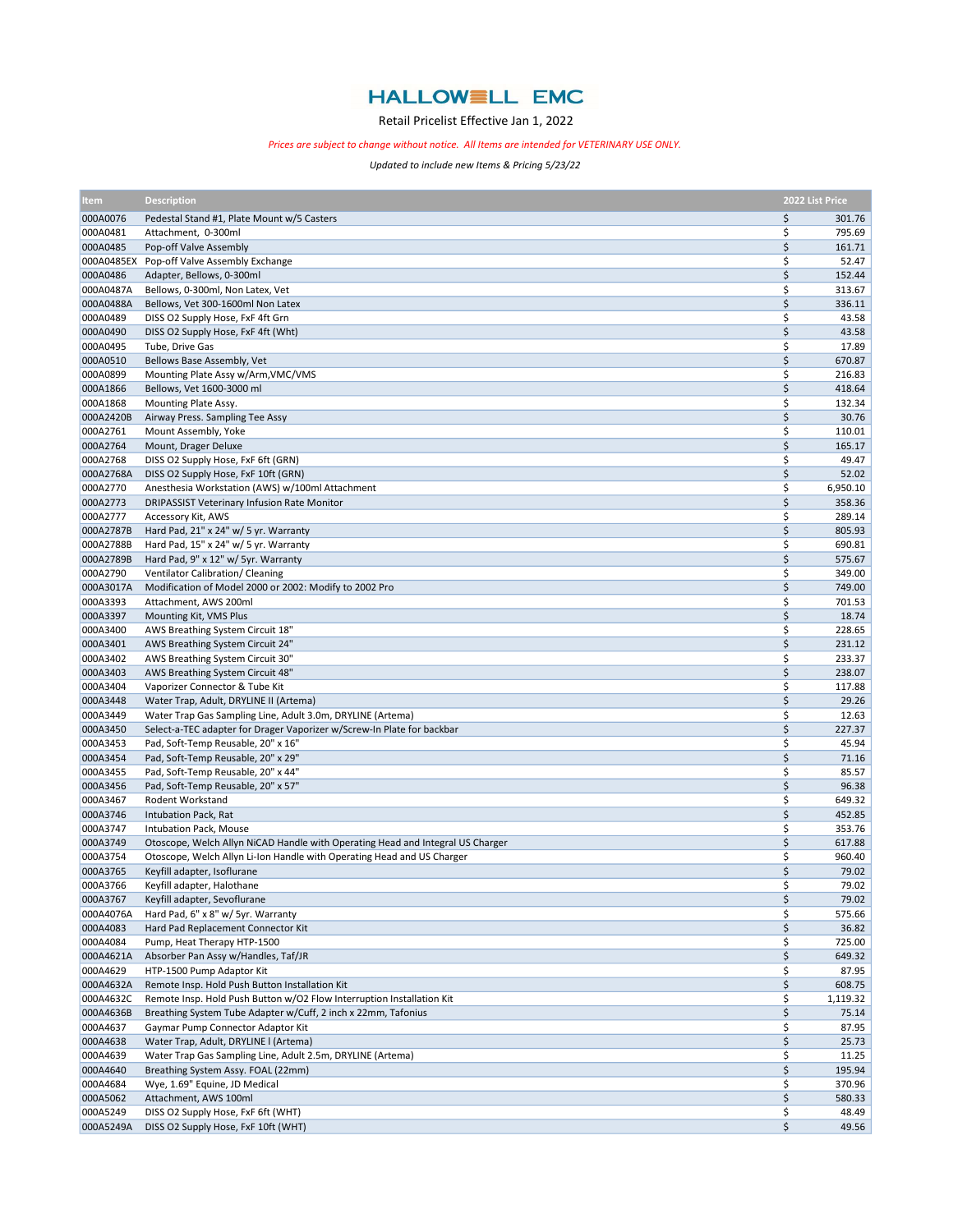## **HALLOWELL EMC**

## Retail Pricelist Effective Jan 1, 2022

## Prices are subject to change without notice. All Items are intended for VETERINARY USE ONLY.

Updated to include new Items & Pricing 5/23/22

| <b>Item</b>          | <b>Description</b>                                                             |          | 2022 List Price  |
|----------------------|--------------------------------------------------------------------------------|----------|------------------|
| 000A0076             | Pedestal Stand #1, Plate Mount w/5 Casters                                     | \$       | 301.76           |
| 000A0481             | Attachment, 0-300ml                                                            | \$       | 795.69           |
| 000A0485             | Pop-off Valve Assembly                                                         | \$       | 161.71           |
| 000A0485EX           | Pop-off Valve Assembly Exchange                                                | \$       | 52.47            |
| 000A0486             | Adapter, Bellows, 0-300ml                                                      | \$       | 152.44           |
| 000A0487A            | Bellows, 0-300ml, Non Latex, Vet                                               | \$       | 313.67           |
| 000A0488A            | Bellows, Vet 300-1600ml Non Latex                                              | \$       | 336.11           |
| 000A0489             | DISS O2 Supply Hose, FxF 4ft Grn                                               | \$       | 43.58            |
| 000A0490             | DISS O2 Supply Hose, FxF 4ft (Wht)                                             | \$       | 43.58            |
| 000A0495             | Tube, Drive Gas                                                                | \$       | 17.89            |
| 000A0510             | Bellows Base Assembly, Vet                                                     | \$       | 670.87           |
| 000A0899             | Mounting Plate Assy w/Arm, VMC/VMS                                             | \$       | 216.83<br>418.64 |
| 000A1866<br>000A1868 | Bellows, Vet 1600-3000 ml                                                      | \$<br>\$ | 132.34           |
| 000A2420B            | Mounting Plate Assy.<br>Airway Press. Sampling Tee Assy                        | \$       | 30.76            |
| 000A2761             | Mount Assembly, Yoke                                                           | \$       | 110.01           |
| 000A2764             | Mount, Drager Deluxe                                                           | \$       | 165.17           |
| 000A2768             | DISS O2 Supply Hose, FxF 6ft (GRN)                                             | \$       | 49.47            |
| 000A2768A            | DISS O2 Supply Hose, FxF 10ft (GRN)                                            | \$       | 52.02            |
| 000A2770             | Anesthesia Workstation (AWS) w/100ml Attachment                                | \$       | 6,950.10         |
| 000A2773             | DRIPASSIST Veterinary Infusion Rate Monitor                                    | \$       | 358.36           |
| 000A2777             | Accessory Kit, AWS                                                             | \$       | 289.14           |
| 000A2787B            | Hard Pad, 21" x 24" w/ 5 yr. Warranty                                          | \$       | 805.93           |
| 000A2788B            | Hard Pad, 15" x 24" w/ 5 yr. Warranty                                          | \$       | 690.81           |
| 000A2789B            | Hard Pad, 9" x 12" w/ 5yr. Warranty                                            | \$       | 575.67           |
| 000A2790             | Ventilator Calibration/ Cleaning                                               | \$       | 349.00           |
| 000A3017A            | Modification of Model 2000 or 2002: Modify to 2002 Pro                         | \$       | 749.00           |
| 000A3393             | Attachment, AWS 200ml                                                          | \$       | 701.53           |
| 000A3397             | Mounting Kit, VMS Plus                                                         | \$       | 18.74            |
| 000A3400             | AWS Breathing System Circuit 18"                                               | \$       | 228.65           |
| 000A3401             | AWS Breathing System Circuit 24"                                               | \$       | 231.12           |
| 000A3402             | AWS Breathing System Circuit 30"                                               | \$       | 233.37           |
| 000A3403             | AWS Breathing System Circuit 48"                                               | \$       | 238.07           |
| 000A3404             | Vaporizer Connector & Tube Kit                                                 | \$       | 117.88           |
| 000A3448             | Water Trap, Adult, DRYLINE II (Artema)                                         | \$       | 29.26            |
| 000A3449             | Water Trap Gas Sampling Line, Adult 3.0m, DRYLINE (Artema)                     | \$       | 12.63            |
| 000A3450             | Select-a-TEC adapter for Drager Vaporizer w/Screw-In Plate for backbar         | \$       | 227.37           |
| 000A3453             | Pad, Soft-Temp Reusable, 20" x 16"                                             | \$       | 45.94            |
| 000A3454             | Pad, Soft-Temp Reusable, 20" x 29"                                             | \$       | 71.16            |
| 000A3455             | Pad, Soft-Temp Reusable, 20" x 44"                                             | \$       | 85.57            |
| 000A3456             | Pad, Soft-Temp Reusable, 20" x 57"                                             | \$       | 96.38            |
| 000A3467             | Rodent Workstand                                                               | \$       | 649.32           |
| 000A3746             | Intubation Pack, Rat                                                           | \$       | 452.85           |
| 000A3747             | Intubation Pack, Mouse                                                         | \$       | 353.76           |
| 000A3749             | Otoscope, Welch Allyn NiCAD Handle with Operating Head and Integral US Charger | \$       | 617.88           |
| 000A3754             | Otoscope, Welch Allyn Li-Ion Handle with Operating Head and US Charger         | \$       | 960.40           |
| 000A3765             | Keyfill adapter, Isoflurane                                                    | \$       | 79.02<br>79.02   |
| 000A3766<br>000A3767 | Keyfill adapter, Halothane<br>Keyfill adapter, Sevoflurane                     | \$<br>\$ | 79.02            |
| 000A4076A            | Hard Pad, 6" x 8" w/ 5yr. Warranty                                             | \$       | 575.66           |
| 000A4083             | Hard Pad Replacement Connector Kit                                             | \$       | 36.82            |
| 000A4084             | Pump, Heat Therapy HTP-1500                                                    | \$       | 725.00           |
| 000A4621A            | Absorber Pan Assy w/Handles, Taf/JR                                            | \$       | 649.32           |
| 000A4629             | HTP-1500 Pump Adaptor Kit                                                      | \$       | 87.95            |
| 000A4632A            | Remote Insp. Hold Push Button Installation Kit                                 | \$       | 608.75           |
| 000A4632C            | Remote Insp. Hold Push Button w/O2 Flow Interruption Installation Kit          | \$       | 1,119.32         |
| 000A4636B            | Breathing System Tube Adapter w/Cuff, 2 inch x 22mm, Tafonius                  | \$       | 75.14            |
| 000A4637             | Gaymar Pump Connector Adaptor Kit                                              | \$       | 87.95            |
| 000A4638             | Water Trap, Adult, DRYLINE I (Artema)                                          | \$       | 25.73            |
| 000A4639             | Water Trap Gas Sampling Line, Adult 2.5m, DRYLINE (Artema)                     | \$       | 11.25            |
| 000A4640             | Breathing System Assy. FOAL (22mm)                                             | \$       | 195.94           |
| 000A4684             | Wye, 1.69" Equine, JD Medical                                                  | \$       | 370.96           |
| 000A5062             | Attachment, AWS 100ml                                                          | \$       | 580.33           |
| 000A5249             | DISS O2 Supply Hose, FxF 6ft (WHT)                                             | \$       | 48.49            |
| 000A5249A            | DISS O2 Supply Hose, FxF 10ft (WHT)                                            | \$       | 49.56            |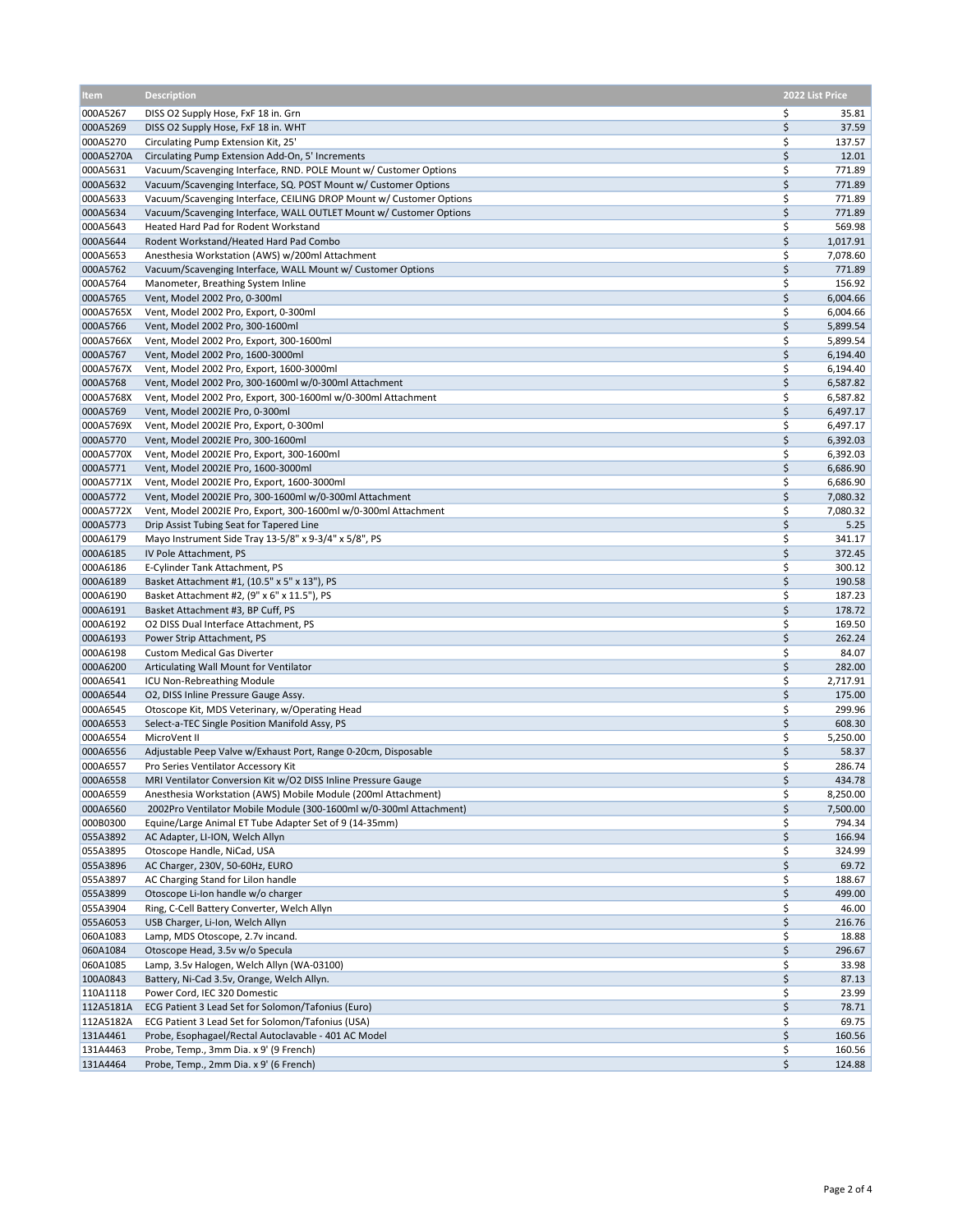| ltem                  | <b>Description</b>                                                                                                         |          | 2022 List Price      |
|-----------------------|----------------------------------------------------------------------------------------------------------------------------|----------|----------------------|
| 000A5267              | DISS O2 Supply Hose, FxF 18 in. Grn                                                                                        | \$       | 35.81                |
| 000A5269              | DISS O2 Supply Hose, FxF 18 in. WHT                                                                                        | \$       | 37.59                |
| 000A5270              | Circulating Pump Extension Kit, 25'                                                                                        | \$       | 137.57               |
| 000A5270A             | Circulating Pump Extension Add-On, 5' Increments                                                                           | \$       | 12.01                |
| 000A5631              | Vacuum/Scavenging Interface, RND. POLE Mount w/ Customer Options                                                           | \$       | 771.89               |
| 000A5632              | Vacuum/Scavenging Interface, SQ. POST Mount w/ Customer Options                                                            | \$       | 771.89               |
| 000A5633              | Vacuum/Scavenging Interface, CEILING DROP Mount w/ Customer Options                                                        | \$       | 771.89               |
| 000A5634              | Vacuum/Scavenging Interface, WALL OUTLET Mount w/ Customer Options                                                         | \$       | 771.89               |
| 000A5643              | Heated Hard Pad for Rodent Workstand                                                                                       | \$       | 569.98               |
| 000A5644              | Rodent Workstand/Heated Hard Pad Combo                                                                                     | \$       | 1,017.91             |
| 000A5653<br>000A5762  | Anesthesia Workstation (AWS) w/200ml Attachment<br>Vacuum/Scavenging Interface, WALL Mount w/ Customer Options             | \$<br>\$ | 7,078.60<br>771.89   |
| 000A5764              | Manometer, Breathing System Inline                                                                                         | \$       | 156.92               |
| 000A5765              | Vent, Model 2002 Pro, 0-300ml                                                                                              | \$       | 6,004.66             |
| 000A5765X             | Vent, Model 2002 Pro, Export, 0-300ml                                                                                      | \$       | 6,004.66             |
| 000A5766              | Vent, Model 2002 Pro, 300-1600ml                                                                                           | \$       | 5,899.54             |
| 000A5766X             | Vent, Model 2002 Pro, Export, 300-1600ml                                                                                   | \$       | 5,899.54             |
| 000A5767              | Vent, Model 2002 Pro, 1600-3000ml                                                                                          | \$       | 6,194.40             |
| 000A5767X             | Vent, Model 2002 Pro, Export, 1600-3000ml                                                                                  | \$       | 6,194.40             |
| 000A5768              | Vent, Model 2002 Pro, 300-1600ml w/0-300ml Attachment                                                                      | \$       | 6,587.82             |
| 000A5768X             | Vent, Model 2002 Pro, Export, 300-1600ml w/0-300ml Attachment                                                              | \$       | 6,587.82             |
| 000A5769              | Vent, Model 2002IE Pro, 0-300ml                                                                                            | \$       | 6,497.17             |
| 000A5769X             | Vent, Model 2002IE Pro, Export, 0-300ml                                                                                    | \$       | 6,497.17             |
| 000A5770              | Vent, Model 2002IE Pro, 300-1600ml                                                                                         | \$       | 6,392.03             |
| 000A5770X             | Vent, Model 2002IE Pro, Export, 300-1600ml                                                                                 | \$       | 6,392.03             |
| 000A5771              | Vent, Model 2002IE Pro, 1600-3000ml                                                                                        | \$       | 6,686.90             |
| 000A5771X             | Vent, Model 2002IE Pro, Export, 1600-3000ml                                                                                | \$<br>\$ | 6,686.90             |
| 000A5772<br>000A5772X | Vent, Model 2002IE Pro, 300-1600ml w/0-300ml Attachment<br>Vent, Model 2002IE Pro, Export, 300-1600ml w/0-300ml Attachment | \$       | 7,080.32<br>7,080.32 |
| 000A5773              | Drip Assist Tubing Seat for Tapered Line                                                                                   | \$       | 5.25                 |
| 000A6179              | Mayo Instrument Side Tray 13-5/8" x 9-3/4" x 5/8", PS                                                                      | \$       | 341.17               |
| 000A6185              | IV Pole Attachment, PS                                                                                                     | \$       | 372.45               |
| 000A6186              | E-Cylinder Tank Attachment, PS                                                                                             | \$       | 300.12               |
| 000A6189              | Basket Attachment #1, (10.5" x 5" x 13"), PS                                                                               | \$       | 190.58               |
| 000A6190              | Basket Attachment #2, (9" x 6" x 11.5"), PS                                                                                | \$       | 187.23               |
| 000A6191              | Basket Attachment #3, BP Cuff, PS                                                                                          | \$       | 178.72               |
| 000A6192              | O2 DISS Dual Interface Attachment, PS                                                                                      | \$       | 169.50               |
| 000A6193              | Power Strip Attachment, PS                                                                                                 | \$       | 262.24               |
| 000A6198              | <b>Custom Medical Gas Diverter</b>                                                                                         | \$       | 84.07                |
| 000A6200              | Articulating Wall Mount for Ventilator                                                                                     | \$       | 282.00               |
| 000A6541              | ICU Non-Rebreathing Module                                                                                                 | \$       | 2,717.91             |
| 000A6544<br>000A6545  | O2, DISS Inline Pressure Gauge Assy.<br>Otoscope Kit, MDS Veterinary, w/Operating Head                                     | \$<br>\$ | 175.00<br>299.96     |
| 000A6553              | Select-a-TEC Single Position Manifold Assy, PS                                                                             | \$       | 608.30               |
| 000A6554              | MicroVent II                                                                                                               | \$       | 5,250.00             |
| 000A6556              | Adjustable Peep Valve w/Exhaust Port, Range 0-20cm, Disposable                                                             | \$       | 58.37                |
| 000A6557              | Pro Series Ventilator Accessory Kit                                                                                        | \$       | 286.74               |
| 000A6558              | MRI Ventilator Conversion Kit w/O2 DISS Inline Pressure Gauge                                                              | \$       | 434.78               |
| 000A6559              | Anesthesia Workstation (AWS) Mobile Module (200ml Attachment)                                                              | \$       | 8,250.00             |
| 000A6560              | 2002Pro Ventilator Mobile Module (300-1600ml w/0-300ml Attachment)                                                         | \$       | 7,500.00             |
| 000B0300              | Equine/Large Animal ET Tube Adapter Set of 9 (14-35mm)                                                                     | \$       | 794.34               |
| 055A3892              | AC Adapter, LI-ION, Welch Allyn                                                                                            | \$       | 166.94               |
| 055A3895              | Otoscope Handle, NiCad, USA                                                                                                | \$       | 324.99               |
| 055A3896              | AC Charger, 230V, 50-60Hz, EURO                                                                                            | \$       | 69.72                |
| 055A3897              | AC Charging Stand for Lilon handle                                                                                         | \$       | 188.67               |
| 055A3899              | Otoscope Li-Ion handle w/o charger                                                                                         | \$       | 499.00               |
| 055A3904<br>055A6053  | Ring, C-Cell Battery Converter, Welch Allyn<br>USB Charger, Li-Ion, Welch Allyn                                            | \$<br>\$ | 46.00<br>216.76      |
| 060A1083              | Lamp, MDS Otoscope, 2.7v incand.                                                                                           | \$       | 18.88                |
| 060A1084              | Otoscope Head, 3.5v w/o Specula                                                                                            | \$       | 296.67               |
| 060A1085              | Lamp, 3.5v Halogen, Welch Allyn (WA-03100)                                                                                 | \$       | 33.98                |
| 100A0843              | Battery, Ni-Cad 3.5v, Orange, Welch Allyn.                                                                                 | \$       | 87.13                |
| 110A1118              | Power Cord, IEC 320 Domestic                                                                                               | \$       | 23.99                |
| 112A5181A             | ECG Patient 3 Lead Set for Solomon/Tafonius (Euro)                                                                         | \$       | 78.71                |
| 112A5182A             | ECG Patient 3 Lead Set for Solomon/Tafonius (USA)                                                                          | \$       | 69.75                |
| 131A4461              | Probe, Esophagael/Rectal Autoclavable - 401 AC Model                                                                       | \$       | 160.56               |
| 131A4463              | Probe, Temp., 3mm Dia. x 9' (9 French)                                                                                     | \$       | 160.56               |
| 131A4464              | Probe, Temp., 2mm Dia. x 9' (6 French)                                                                                     | \$       | 124.88               |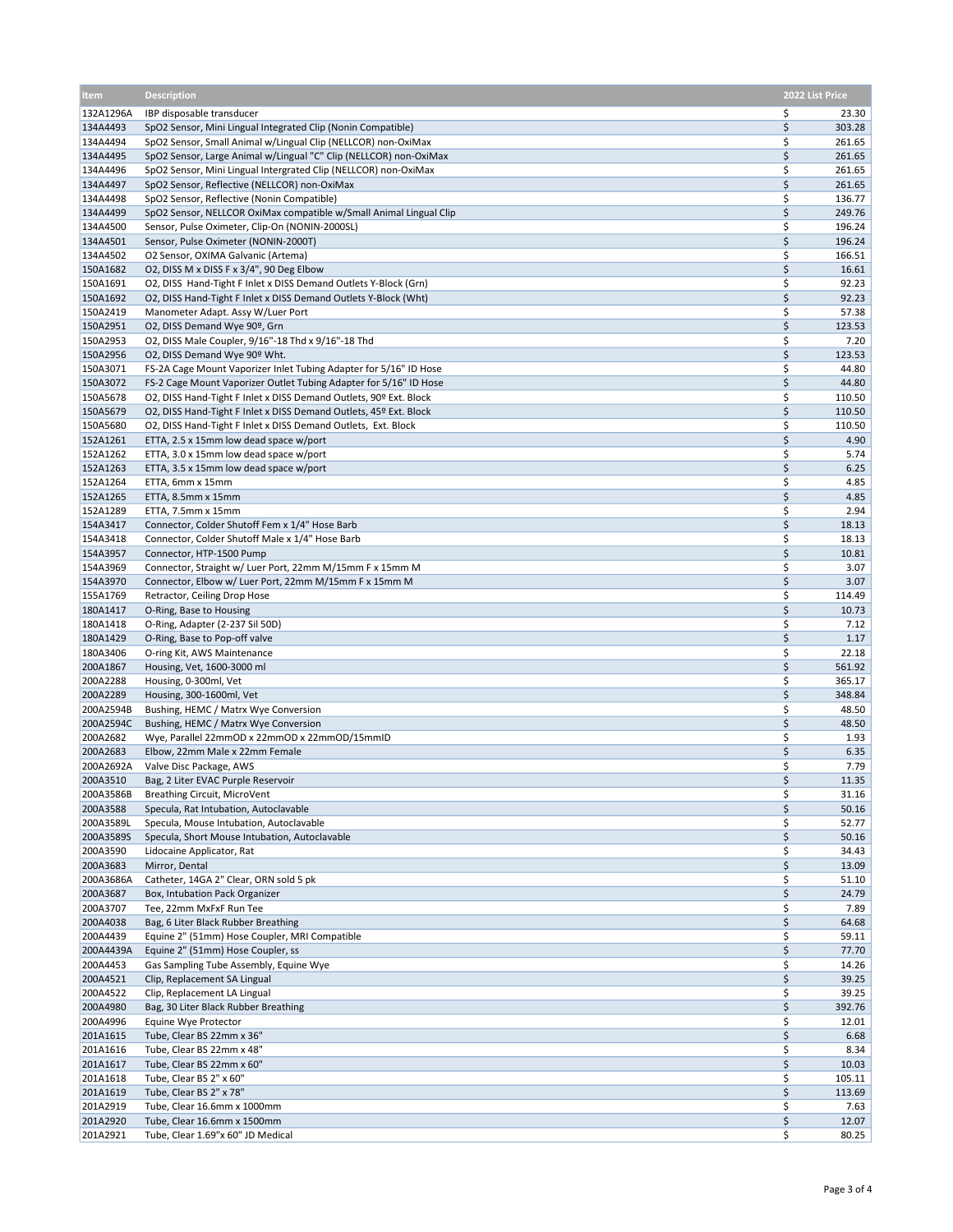| <b>Item</b>           | <b>Description</b>                                                                                                                   |          | 2022 List Price  |
|-----------------------|--------------------------------------------------------------------------------------------------------------------------------------|----------|------------------|
| 132A1296A             | IBP disposable transducer                                                                                                            | \$       | 23.30            |
| 134A4493              | SpO2 Sensor, Mini Lingual Integrated Clip (Nonin Compatible)                                                                         | \$       | 303.28           |
| 134A4494              | SpO2 Sensor, Small Animal w/Lingual Clip (NELLCOR) non-OxiMax                                                                        | \$       | 261.65           |
| 134A4495<br>134A4496  | SpO2 Sensor, Large Animal w/Lingual "C" Clip (NELLCOR) non-OxiMax<br>SpO2 Sensor, Mini Lingual Intergrated Clip (NELLCOR) non-OxiMax | \$<br>\$ | 261.65<br>261.65 |
| 134A4497              | SpO2 Sensor, Reflective (NELLCOR) non-OxiMax                                                                                         | \$       | 261.65           |
| 134A4498              | SpO2 Sensor, Reflective (Nonin Compatible)                                                                                           | \$       | 136.77           |
| 134A4499              | SpO2 Sensor, NELLCOR OxiMax compatible w/Small Animal Lingual Clip                                                                   | \$       | 249.76           |
| 134A4500              | Sensor, Pulse Oximeter, Clip-On (NONIN-2000SL)                                                                                       | \$       | 196.24           |
| 134A4501<br>134A4502  | Sensor, Pulse Oximeter (NONIN-2000T)<br>O2 Sensor, OXIMA Galvanic (Artema)                                                           | \$<br>\$ | 196.24<br>166.51 |
| 150A1682              | O2, DISS M x DISS F x 3/4", 90 Deg Elbow                                                                                             | \$       | 16.61            |
| 150A1691              | O2, DISS Hand-Tight F Inlet x DISS Demand Outlets Y-Block (Grn)                                                                      | \$       | 92.23            |
| 150A1692              | O2, DISS Hand-Tight F Inlet x DISS Demand Outlets Y-Block (Wht)                                                                      | \$       | 92.23            |
| 150A2419              | Manometer Adapt. Assy W/Luer Port                                                                                                    | \$       | 57.38            |
| 150A2951<br>150A2953  | O2, DISS Demand Wye 90º, Grn<br>O2, DISS Male Coupler, 9/16"-18 Thd x 9/16"-18 Thd                                                   | \$<br>\$ | 123.53<br>7.20   |
| 150A2956              | O2, DISS Demand Wye 90º Wht.                                                                                                         | \$       | 123.53           |
| 150A3071              | FS-2A Cage Mount Vaporizer Inlet Tubing Adapter for 5/16" ID Hose                                                                    | \$       | 44.80            |
| 150A3072              | FS-2 Cage Mount Vaporizer Outlet Tubing Adapter for 5/16" ID Hose                                                                    | \$       | 44.80            |
| 150A5678              | O2, DISS Hand-Tight F Inlet x DISS Demand Outlets, 90º Ext. Block                                                                    | \$       | 110.50           |
| 150A5679              | O2, DISS Hand-Tight F Inlet x DISS Demand Outlets, 45º Ext. Block                                                                    | \$       | 110.50           |
| 150A5680<br>152A1261  | O2, DISS Hand-Tight F Inlet x DISS Demand Outlets, Ext. Block<br>ETTA, 2.5 x 15mm low dead space w/port                              | \$<br>\$ | 110.50<br>4.90   |
| 152A1262              | ETTA, 3.0 x 15mm low dead space w/port                                                                                               | \$       | 5.74             |
| 152A1263              | ETTA, 3.5 x 15mm low dead space w/port                                                                                               | \$       | 6.25             |
| 152A1264              | ETTA, 6mm x 15mm                                                                                                                     | \$       | 4.85             |
| 152A1265              | ETTA, 8.5mm x 15mm                                                                                                                   | \$       | 4.85             |
| 152A1289              | ETTA, 7.5mm x 15mm<br>Connector, Colder Shutoff Fem x 1/4" Hose Barb                                                                 | \$<br>\$ | 2.94             |
| 154A3417<br>154A3418  | Connector, Colder Shutoff Male x 1/4" Hose Barb                                                                                      | \$       | 18.13<br>18.13   |
| 154A3957              | Connector, HTP-1500 Pump                                                                                                             | \$       | 10.81            |
| 154A3969              | Connector, Straight w/ Luer Port, 22mm M/15mm F x 15mm M                                                                             | \$       | 3.07             |
| 154A3970              | Connector, Elbow w/ Luer Port, 22mm M/15mm F x 15mm M                                                                                | \$       | 3.07             |
| 155A1769              | Retractor, Ceiling Drop Hose                                                                                                         | \$       | 114.49           |
| 180A1417<br>180A1418  | O-Ring, Base to Housing<br>O-Ring, Adapter (2-237 Sil 50D)                                                                           | \$<br>\$ | 10.73<br>7.12    |
| 180A1429              | O-Ring, Base to Pop-off valve                                                                                                        | \$       | 1.17             |
| 180A3406              | O-ring Kit, AWS Maintenance                                                                                                          | \$       | 22.18            |
| 200A1867              | Housing, Vet, 1600-3000 ml                                                                                                           | \$       | 561.92           |
| 200A2288              | Housing, 0-300ml, Vet                                                                                                                | \$       | 365.17           |
| 200A2289<br>200A2594B | Housing, 300-1600ml, Vet<br>Bushing, HEMC / Matrx Wye Conversion                                                                     | \$<br>\$ | 348.84<br>48.50  |
| 200A2594C             | Bushing, HEMC / Matrx Wye Conversion                                                                                                 | \$       | 48.50            |
| 200A2682              | Wye, Parallel 22mmOD x 22mmOD x 22mmOD/15mmID                                                                                        | \$       | 1.93             |
| 200A2683              | Elbow, 22mm Male x 22mm Female                                                                                                       | \$       | 6.35             |
| 200A2692A             | Valve Disc Package, AWS                                                                                                              | \$       | 7.79             |
| 200A3510<br>200A3586B | Bag, 2 Liter EVAC Purple Reservoir<br>Breathing Circuit, MicroVent                                                                   | \$<br>\$ | 11.35<br>31.16   |
| 200A3588              | Specula, Rat Intubation, Autoclavable                                                                                                | \$       | 50.16            |
| 200A3589L             | Specula, Mouse Intubation, Autoclavable                                                                                              | \$       | 52.77            |
| 200A3589S             | Specula, Short Mouse Intubation, Autoclavable                                                                                        | \$       | 50.16            |
| 200A3590              | Lidocaine Applicator, Rat                                                                                                            | \$       | 34.43            |
| 200A3683              | Mirror, Dental<br>Catheter, 14GA 2" Clear, ORN sold 5 pk                                                                             | \$       | 13.09            |
| 200A3686A<br>200A3687 | Box, Intubation Pack Organizer                                                                                                       | \$<br>\$ | 51.10<br>24.79   |
| 200A3707              | Tee, 22mm MxFxF Run Tee                                                                                                              | \$       | 7.89             |
| 200A4038              | Bag, 6 Liter Black Rubber Breathing                                                                                                  | \$       | 64.68            |
| 200A4439              | Equine 2" (51mm) Hose Coupler, MRI Compatible                                                                                        | \$       | 59.11            |
| 200A4439A             | Equine 2" (51mm) Hose Coupler, ss                                                                                                    | \$       | 77.70            |
| 200A4453<br>200A4521  | Gas Sampling Tube Assembly, Equine Wye<br>Clip, Replacement SA Lingual                                                               | \$<br>\$ | 14.26<br>39.25   |
| 200A4522              | Clip, Replacement LA Lingual                                                                                                         | \$       | 39.25            |
| 200A4980              | Bag, 30 Liter Black Rubber Breathing                                                                                                 | \$       | 392.76           |
| 200A4996              | Equine Wye Protector                                                                                                                 | \$       | 12.01            |
| 201A1615              | Tube, Clear BS 22mm x 36"                                                                                                            | \$       | 6.68             |
| 201A1616<br>201A1617  | Tube, Clear BS 22mm x 48"<br>Tube, Clear BS 22mm x 60"                                                                               | \$<br>\$ | 8.34<br>10.03    |
| 201A1618              | Tube, Clear BS 2" x 60"                                                                                                              | \$       | 105.11           |
| 201A1619              | Tube, Clear BS 2" x 78"                                                                                                              | \$       | 113.69           |
| 201A2919              | Tube, Clear 16.6mm x 1000mm                                                                                                          | \$       | 7.63             |
| 201A2920              | Tube, Clear 16.6mm x 1500mm                                                                                                          | \$       | 12.07            |
| 201A2921              | Tube, Clear 1.69"x 60" JD Medical                                                                                                    | \$       | 80.25            |